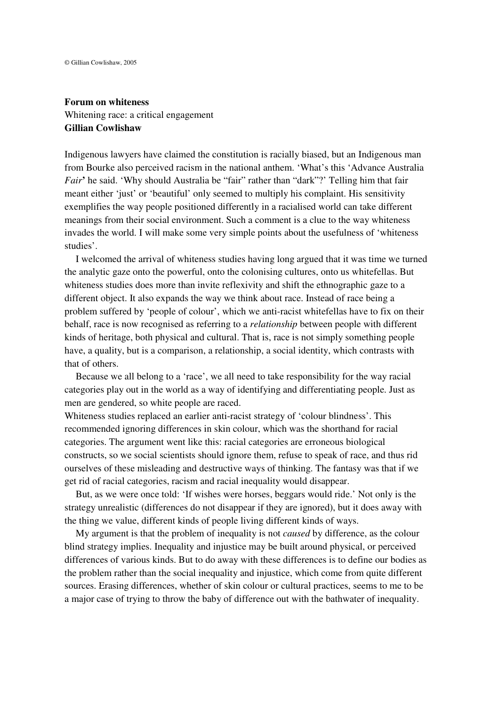## **Forum on whiteness** Whitening race: a critical engagement **Gillian Cowlishaw**

Indigenous lawyers have claimed the constitution is racially biased, but an Indigenous man from Bourke also perceived racism in the national anthem. 'What's this 'Advance Australia *Fair***'** he said. 'Why should Australia be "fair" rather than "dark"?' Telling him that fair meant either 'just' or 'beautiful' only seemed to multiply his complaint. His sensitivity exemplifies the way people positioned differently in a racialised world can take different meanings from their social environment. Such a comment is a clue to the way whiteness invades the world. I will make some very simple points about the usefulness of 'whiteness studies'.

I welcomed the arrival of whiteness studies having long argued that it was time we turned the analytic gaze onto the powerful, onto the colonising cultures, onto us whitefellas. But whiteness studies does more than invite reflexivity and shift the ethnographic gaze to a different object. It also expands the way we think about race. Instead of race being a problem suffered by 'people of colour', which we anti-racist whitefellas have to fix on their behalf, race is now recognised as referring to a *relationship* between people with different kinds of heritage, both physical and cultural. That is, race is not simply something people have, a quality, but is a comparison, a relationship, a social identity, which contrasts with that of others.

Because we all belong to a 'race', we all need to take responsibility for the way racial categories play out in the world as a way of identifying and differentiating people. Just as men are gendered, so white people are raced.

Whiteness studies replaced an earlier anti-racist strategy of 'colour blindness'. This recommended ignoring differences in skin colour, which was the shorthand for racial categories. The argument went like this: racial categories are erroneous biological constructs, so we social scientists should ignore them, refuse to speak of race, and thus rid ourselves of these misleading and destructive ways of thinking. The fantasy was that if we get rid of racial categories, racism and racial inequality would disappear.

But, as we were once told: 'If wishes were horses, beggars would ride.' Not only is the strategy unrealistic (differences do not disappear if they are ignored), but it does away with the thing we value, different kinds of people living different kinds of ways.

My argument is that the problem of inequality is not *caused* by difference, as the colour blind strategy implies. Inequality and injustice may be built around physical, or perceived differences of various kinds. But to do away with these differences is to define our bodies as the problem rather than the social inequality and injustice, which come from quite different sources. Erasing differences, whether of skin colour or cultural practices, seems to me to be a major case of trying to throw the baby of difference out with the bathwater of inequality.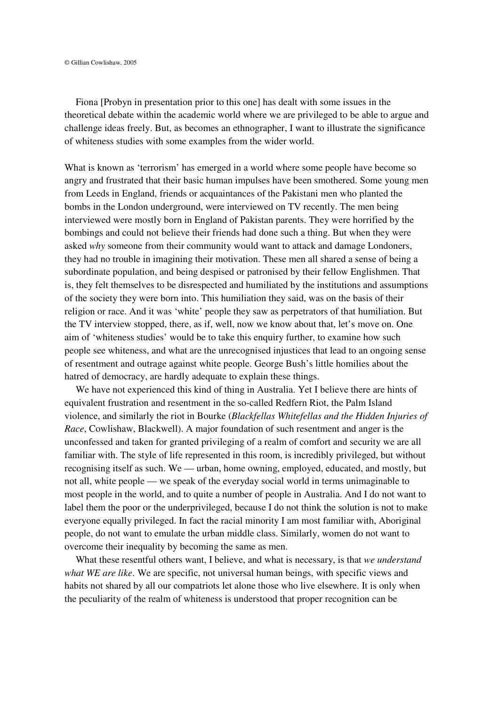Fiona [Probyn in presentation prior to this one] has dealt with some issues in the theoretical debate within the academic world where we are privileged to be able to argue and challenge ideas freely. But, as becomes an ethnographer, I want to illustrate the significance of whiteness studies with some examples from the wider world.

What is known as 'terrorism' has emerged in a world where some people have become so angry and frustrated that their basic human impulses have been smothered. Some young men from Leeds in England, friends or acquaintances of the Pakistani men who planted the bombs in the London underground, were interviewed on TV recently. The men being interviewed were mostly born in England of Pakistan parents. They were horrified by the bombings and could not believe their friends had done such a thing. But when they were asked *why* someone from their community would want to attack and damage Londoners, they had no trouble in imagining their motivation. These men all shared a sense of being a subordinate population, and being despised or patronised by their fellow Englishmen. That is, they felt themselves to be disrespected and humiliated by the institutions and assumptions of the society they were born into. This humiliation they said, was on the basis of their religion or race. And it was 'white' people they saw as perpetrators of that humiliation. But the TV interview stopped, there, as if, well, now we know about that, let's move on. One aim of 'whiteness studies' would be to take this enquiry further, to examine how such people see whiteness, and what are the unrecognised injustices that lead to an ongoing sense of resentment and outrage against white people. George Bush's little homilies about the hatred of democracy, are hardly adequate to explain these things.

We have not experienced this kind of thing in Australia. Yet I believe there are hints of equivalent frustration and resentment in the so-called Redfern Riot, the Palm Island violence, and similarly the riot in Bourke (*Blackfellas Whitefellas and the Hidden Injuries of Race*, Cowlishaw, Blackwell). A major foundation of such resentment and anger is the unconfessed and taken for granted privileging of a realm of comfort and security we are all familiar with. The style of life represented in this room, is incredibly privileged, but without recognising itself as such. We — urban, home owning, employed, educated, and mostly, but not all, white people — we speak of the everyday social world in terms unimaginable to most people in the world, and to quite a number of people in Australia. And I do not want to label them the poor or the underprivileged, because I do not think the solution is not to make everyone equally privileged. In fact the racial minority I am most familiar with, Aboriginal people, do not want to emulate the urban middle class. Similarly, women do not want to overcome their inequality by becoming the same as men.

What these resentful others want, I believe, and what is necessary, is that *we understand what WE are like*. We are specific, not universal human beings, with specific views and habits not shared by all our compatriots let alone those who live elsewhere. It is only when the peculiarity of the realm of whiteness is understood that proper recognition can be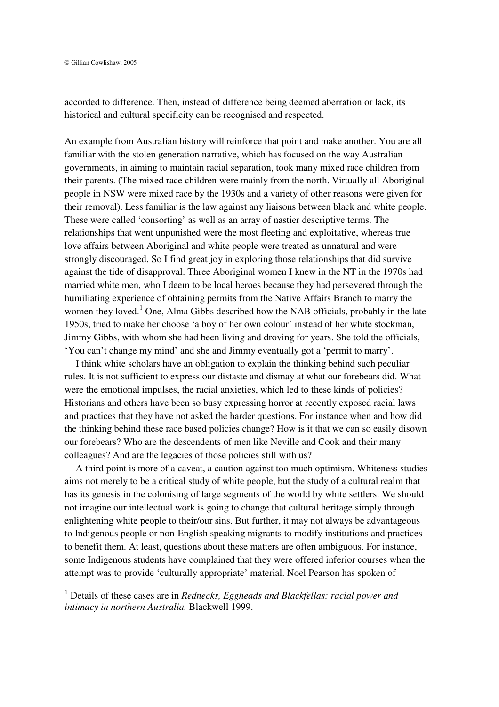accorded to difference. Then, instead of difference being deemed aberration or lack, its historical and cultural specificity can be recognised and respected.

An example from Australian history will reinforce that point and make another. You are all familiar with the stolen generation narrative, which has focused on the way Australian governments, in aiming to maintain racial separation, took many mixed race children from their parents. (The mixed race children were mainly from the north. Virtually all Aboriginal people in NSW were mixed race by the 1930s and a variety of other reasons were given for their removal). Less familiar is the law against any liaisons between black and white people. These were called 'consorting' as well as an array of nastier descriptive terms. The relationships that went unpunished were the most fleeting and exploitative, whereas true love affairs between Aboriginal and white people were treated as unnatural and were strongly discouraged. So I find great joy in exploring those relationships that did survive against the tide of disapproval. Three Aboriginal women I knew in the NT in the 1970s had married white men, who I deem to be local heroes because they had persevered through the humiliating experience of obtaining permits from the Native Affairs Branch to marry the women they loved.<sup>1</sup> One, Alma Gibbs described how the NAB officials, probably in the late 1950s, tried to make her choose 'a boy of her own colour' instead of her white stockman, Jimmy Gibbs, with whom she had been living and droving for years. She told the officials, 'You can't change my mind' and she and Jimmy eventually got a 'permit to marry'.

I think white scholars have an obligation to explain the thinking behind such peculiar rules. It is not sufficient to express our distaste and dismay at what our forebears did. What were the emotional impulses, the racial anxieties, which led to these kinds of policies? Historians and others have been so busy expressing horror at recently exposed racial laws and practices that they have not asked the harder questions. For instance when and how did the thinking behind these race based policies change? How is it that we can so easily disown our forebears? Who are the descendents of men like Neville and Cook and their many colleagues? And are the legacies of those policies still with us?

A third point is more of a caveat, a caution against too much optimism. Whiteness studies aims not merely to be a critical study of white people, but the study of a cultural realm that has its genesis in the colonising of large segments of the world by white settlers. We should not imagine our intellectual work is going to change that cultural heritage simply through enlightening white people to their/our sins. But further, it may not always be advantageous to Indigenous people or non-English speaking migrants to modify institutions and practices to benefit them. At least, questions about these matters are often ambiguous. For instance, some Indigenous students have complained that they were offered inferior courses when the attempt was to provide 'culturally appropriate' material. Noel Pearson has spoken of

<sup>1</sup> Details of these cases are in *Rednecks, Eggheads and Blackfellas: racial power and intimacy in northern Australia.* Blackwell 1999.